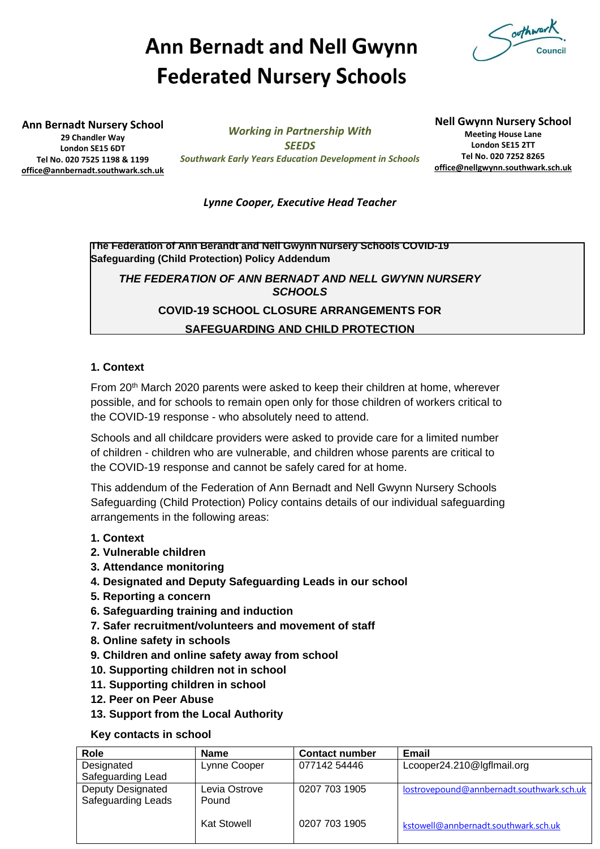# **Ann Bernadt and Nell Gwynn Federated Nursery Schools**



**Ann Bernadt Nursery School 29 Chandler Way London SE15 6DT Tel No. 020 7525 1198 & 1199 [office@annbernadt.southwark.sch.uk](mailto:office@annbernadt.southwark.sch.uk)**

*Working in Partnership With SEEDS Southwark Early Years Education Development in Schools*

**Nell Gwynn Nursery School Meeting House Lane London SE15 2TT Tel No. 020 7252 8265 [office@nellgwynn.southwark.sch.uk](mailto:office@nellgwynn.southwark.sch.uk)**

# *Lynne Cooper, Executive Head Teacher*

**The Federation of Ann Berandt and Nell Gwynn Nursery Schools COVID-19 Safeguarding (Child Protection) Policy Addendum**

*THE FEDERATION OF ANN BERNADT AND NELL GWYNN NURSERY SCHOOLS*

**COVID-19 SCHOOL CLOSURE ARRANGEMENTS FOR**

**SAFEGUARDING AND CHILD PROTECTION**

# **1. Context**

From 20th March 2020 parents were asked to keep their children at home, wherever possible, and for schools to remain open only for those children of workers critical to the COVID-19 response - who absolutely need to attend.

Schools and all childcare providers were asked to provide care for a limited number of children - children who are vulnerable, and children whose parents are critical to the COVID-19 response and cannot be safely cared for at home.

This addendum of the Federation of Ann Bernadt and Nell Gwynn Nursery Schools Safeguarding (Child Protection) Policy contains details of our individual safeguarding arrangements in the following areas:

- **1. Context**
- **2. Vulnerable children**
- **3. Attendance monitoring**
- **4. Designated and Deputy Safeguarding Leads in our school**
- **5. Reporting a concern**
- **6. Safeguarding training and induction**
- **7. Safer recruitment/volunteers and movement of staff**
- **8. Online safety in schools**
- **9. Children and online safety away from school**
- **10. Supporting children not in school**
- **11. Supporting children in school**
- **12. Peer on Peer Abuse**
- **13. Support from the Local Authority**

# **Key contacts in school**

| Role                     | <b>Name</b>        | <b>Contact number</b> | Email                                     |
|--------------------------|--------------------|-----------------------|-------------------------------------------|
| Designated               | Lynne Cooper       | 077142 54446          | Lcooper24.210@lgflmail.org                |
| Safeguarding Lead        |                    |                       |                                           |
| <b>Deputy Designated</b> | Levia Ostrove      | 0207 703 1905         | lostrovepound@annbernadt.southwark.sch.uk |
| Safeguarding Leads       | Pound              |                       |                                           |
|                          |                    |                       |                                           |
|                          | <b>Kat Stowell</b> | 0207 703 1905         | kstowell@annbernadt.southwark.sch.uk      |
|                          |                    |                       |                                           |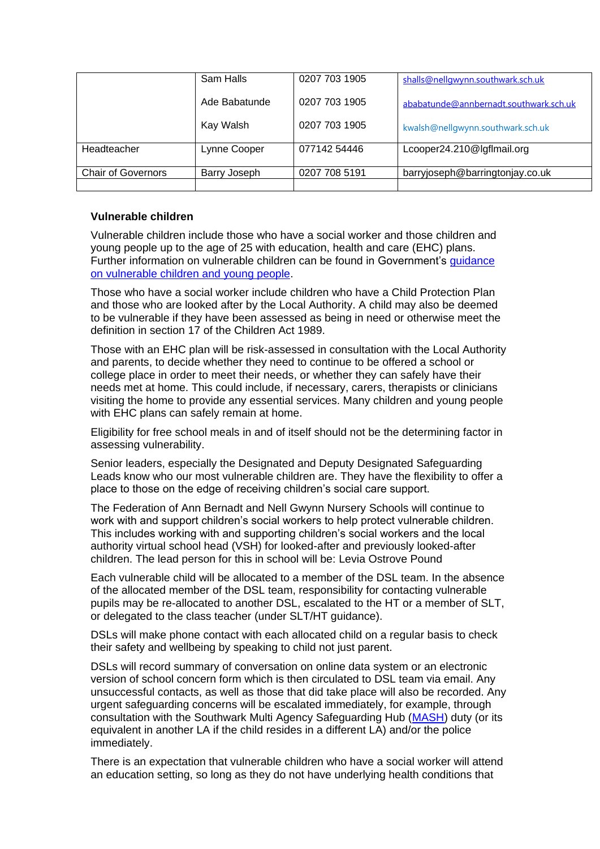|                           | Sam Halls     | 0207 703 1905 | shalls@nellgwynn.southwark.sch.uk      |
|---------------------------|---------------|---------------|----------------------------------------|
|                           | Ade Babatunde | 0207 703 1905 | ababatunde@annbernadt.southwark.sch.uk |
|                           | Kay Walsh     | 0207 703 1905 | kwalsh@nellgwynn.southwark.sch.uk      |
| Headteacher               | Lynne Cooper  | 077142 54446  | Lcooper24.210@lgflmail.org             |
| <b>Chair of Governors</b> | Barry Joseph  | 0207 708 5191 | barryjoseph@barringtonjay.co.uk        |

# **Vulnerable children**

Vulnerable children include those who have a social worker and those children and young people up to the age of 25 with education, health and care (EHC) plans. Further information on vulnerable children can be found in Government's [guidance](https://www.gov.uk/government/publications/coronavirus-covid-19-guidance-on-vulnerable-children-and-young-people/coronavirus-covid-19-guidance-on-vulnerable-children-and-young-people)  [on vulnerable children and young people.](https://www.gov.uk/government/publications/coronavirus-covid-19-guidance-on-vulnerable-children-and-young-people/coronavirus-covid-19-guidance-on-vulnerable-children-and-young-people)

Those who have a social worker include children who have a Child Protection Plan and those who are looked after by the Local Authority. A child may also be deemed to be vulnerable if they have been assessed as being in need or otherwise meet the definition in section 17 of the Children Act 1989.

Those with an EHC plan will be risk-assessed in consultation with the Local Authority and parents, to decide whether they need to continue to be offered a school or college place in order to meet their needs, or whether they can safely have their needs met at home. This could include, if necessary, carers, therapists or clinicians visiting the home to provide any essential services. Many children and young people with EHC plans can safely remain at home.

Eligibility for free school meals in and of itself should not be the determining factor in assessing vulnerability.

Senior leaders, especially the Designated and Deputy Designated Safeguarding Leads know who our most vulnerable children are. They have the flexibility to offer a place to those on the edge of receiving children's social care support.

The Federation of Ann Bernadt and Nell Gwynn Nursery Schools will continue to work with and support children's social workers to help protect vulnerable children. This includes working with and supporting children's social workers and the local authority virtual school head (VSH) for looked-after and previously looked-after children. The lead person for this in school will be: Levia Ostrove Pound

Each vulnerable child will be allocated to a member of the DSL team. In the absence of the allocated member of the DSL team, responsibility for contacting vulnerable pupils may be re-allocated to another DSL, escalated to the HT or a member of SLT, or delegated to the class teacher (under SLT/HT guidance).

DSLs will make phone contact with each allocated child on a regular basis to check their safety and wellbeing by speaking to child not just parent.

DSLs will record summary of conversation on online data system or an electronic version of school concern form which is then circulated to DSL team via email. Any unsuccessful contacts, as well as those that did take place will also be recorded. Any urgent safeguarding concerns will be escalated immediately, for example, through consultation with the Southwark Multi Agency Safeguarding Hub [\(MASH\)](https://www.southwark.gov.uk/childcare-and-parenting/children-s-social-care/child-protection/multi-agency-safeguarding-hub-mash) duty (or its equivalent in another LA if the child resides in a different LA) and/or the police immediately.

There is an expectation that vulnerable children who have a social worker will attend an education setting, so long as they do not have underlying health conditions that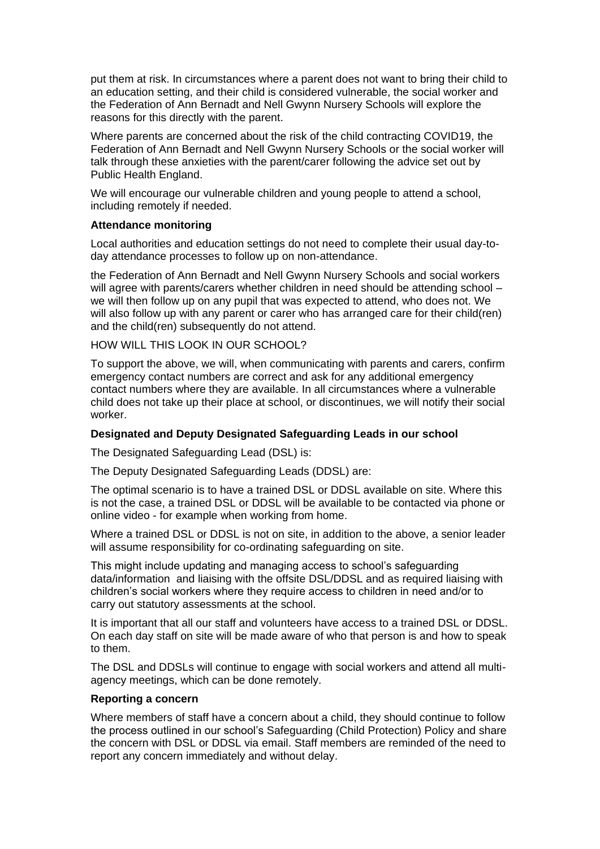put them at risk. In circumstances where a parent does not want to bring their child to an education setting, and their child is considered vulnerable, the social worker and the Federation of Ann Bernadt and Nell Gwynn Nursery Schools will explore the reasons for this directly with the parent.

Where parents are concerned about the risk of the child contracting COVID19, the Federation of Ann Bernadt and Nell Gwynn Nursery Schools or the social worker will talk through these anxieties with the parent/carer following the advice set out by Public Health England.

We will encourage our vulnerable children and young people to attend a school, including remotely if needed.

## **Attendance monitoring**

Local authorities and education settings do not need to complete their usual day-today attendance processes to follow up on non-attendance.

the Federation of Ann Bernadt and Nell Gwynn Nursery Schools and social workers will agree with parents/carers whether children in need should be attending school – we will then follow up on any pupil that was expected to attend, who does not. We will also follow up with any parent or carer who has arranged care for their child(ren) and the child(ren) subsequently do not attend.

HOW WILL THIS LOOK IN OUR SCHOOL?

To support the above, we will, when communicating with parents and carers, confirm emergency contact numbers are correct and ask for any additional emergency contact numbers where they are available. In all circumstances where a vulnerable child does not take up their place at school, or discontinues, we will notify their social worker.

## **Designated and Deputy Designated Safeguarding Leads in our school**

The Designated Safeguarding Lead (DSL) is:

The Deputy Designated Safeguarding Leads (DDSL) are:

The optimal scenario is to have a trained DSL or DDSL available on site. Where this is not the case, a trained DSL or DDSL will be available to be contacted via phone or online video - for example when working from home.

Where a trained DSL or DDSL is not on site, in addition to the above, a senior leader will assume responsibility for co-ordinating safeguarding on site.

This might include updating and managing access to school's safeguarding data/information and liaising with the offsite DSL/DDSL and as required liaising with children's social workers where they require access to children in need and/or to carry out statutory assessments at the school.

It is important that all our staff and volunteers have access to a trained DSL or DDSL. On each day staff on site will be made aware of who that person is and how to speak to them.

The DSL and DDSLs will continue to engage with social workers and attend all multiagency meetings, which can be done remotely.

## **Reporting a concern**

Where members of staff have a concern about a child, they should continue to follow the process outlined in our school's Safeguarding (Child Protection) Policy and share the concern with DSL or DDSL via email. Staff members are reminded of the need to report any concern immediately and without delay.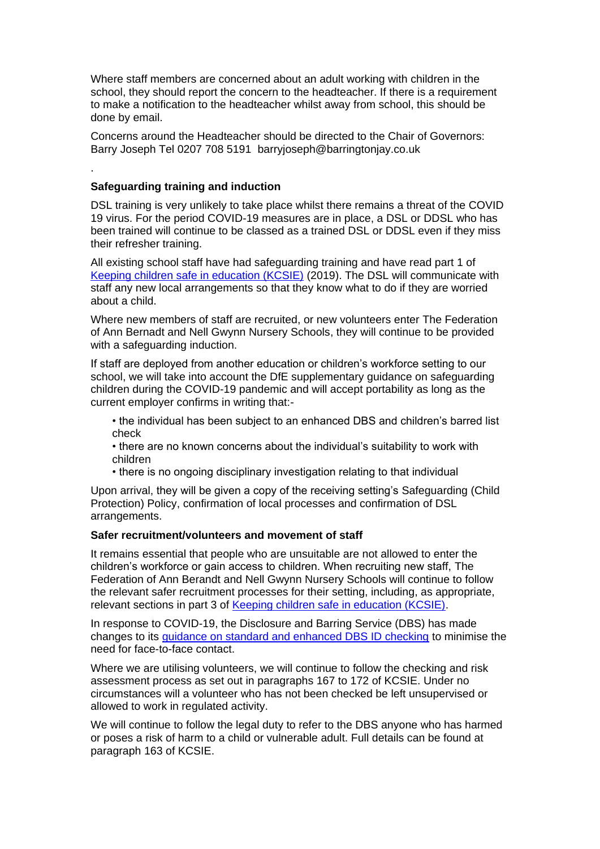Where staff members are concerned about an adult working with children in the school, they should report the concern to the headteacher. If there is a requirement to make a notification to the headteacher whilst away from school, this should be done by email.

Concerns around the Headteacher should be directed to the Chair of Governors: Barry Joseph Tel 0207 708 5191 barryjoseph@barringtonjay.co.uk

## **Safeguarding training and induction**

.

DSL training is very unlikely to take place whilst there remains a threat of the COVID 19 virus. For the period COVID-19 measures are in place, a DSL or DDSL who has been trained will continue to be classed as a trained DSL or DDSL even if they miss their refresher training.

All existing school staff have had safeguarding training and have read part 1 of [Keeping children safe in education \(KCSIE\)](https://www.gov.uk/government/publications/keeping-children-safe-in-education--2) (2019). The DSL will communicate with staff any new local arrangements so that they know what to do if they are worried about a child.

Where new members of staff are recruited, or new volunteers enter The Federation of Ann Bernadt and Nell Gwynn Nursery Schools, they will continue to be provided with a safeguarding induction.

If staff are deployed from another education or children's workforce setting to our school, we will take into account the DfE supplementary guidance on safeguarding children during the COVID-19 pandemic and will accept portability as long as the current employer confirms in writing that:-

• the individual has been subject to an enhanced DBS and children's barred list check

- there are no known concerns about the individual's suitability to work with children
- there is no ongoing disciplinary investigation relating to that individual

Upon arrival, they will be given a copy of the receiving setting's Safeguarding (Child Protection) Policy, confirmation of local processes and confirmation of DSL arrangements.

## **Safer recruitment/volunteers and movement of staff**

It remains essential that people who are unsuitable are not allowed to enter the children's workforce or gain access to children. When recruiting new staff, The Federation of Ann Berandt and Nell Gwynn Nursery Schools will continue to follow the relevant safer recruitment processes for their setting, including, as appropriate, relevant sections in part 3 of [Keeping children safe in education \(KCSIE\).](https://www.gov.uk/government/publications/keeping-children-safe-in-education--2)

In response to COVID-19, the Disclosure and Barring Service (DBS) has made changes to its [guidance on standard and enhanced DBS ID checking](https://www.gov.uk/government/news/covid-19-changes-to-standard-and-enhanced-id-checking-guidelines) to minimise the need for face-to-face contact.

Where we are utilising volunteers, we will continue to follow the checking and risk assessment process as set out in paragraphs 167 to 172 of KCSIE. Under no circumstances will a volunteer who has not been checked be left unsupervised or allowed to work in regulated activity.

We will continue to follow the legal duty to refer to the DBS anyone who has harmed or poses a risk of harm to a child or vulnerable adult. Full details can be found at paragraph 163 of KCSIE.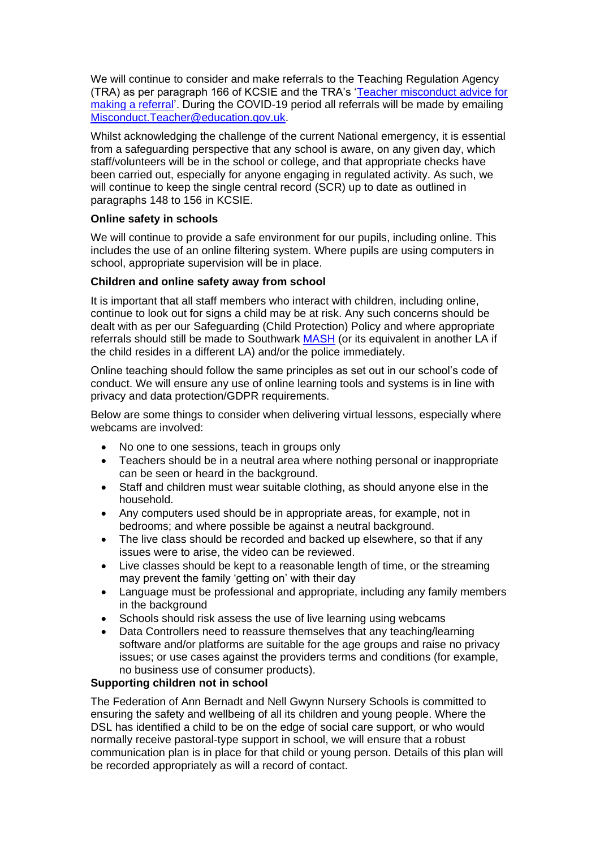We will continue to consider and make referrals to the Teaching Regulation Agency (TRA) as per paragraph 166 of KCSIE and the TRA's ['Teacher misconduct advice for](https://www.gov.uk/guidance/teacher-misconduct-referring-a-case)  [making a referral'](https://www.gov.uk/guidance/teacher-misconduct-referring-a-case). During the COVID-19 period all referrals will be made by emailing [Misconduct.Teacher@education.gov.uk.](mailto:Misconduct.Teacher@education.gov.uk)

Whilst acknowledging the challenge of the current National emergency, it is essential from a safeguarding perspective that any school is aware, on any given day, which staff/volunteers will be in the school or college, and that appropriate checks have been carried out, especially for anyone engaging in regulated activity. As such, we will continue to keep the single central record (SCR) up to date as outlined in paragraphs 148 to 156 in KCSIE.

# **Online safety in schools**

We will continue to provide a safe environment for our pupils, including online. This includes the use of an online filtering system. Where pupils are using computers in school, appropriate supervision will be in place.

# **Children and online safety away from school**

It is important that all staff members who interact with children, including online, continue to look out for signs a child may be at risk. Any such concerns should be dealt with as per our Safeguarding (Child Protection) Policy and where appropriate referrals should still be made to Southwark [MASH](https://www.southwark.gov.uk/childcare-and-parenting/children-s-social-care/child-protection/multi-agency-safeguarding-hub-mash) (or its equivalent in another LA if the child resides in a different LA) and/or the police immediately.

Online teaching should follow the same principles as set out in our school's code of conduct. We will ensure any use of online learning tools and systems is in line with privacy and data protection/GDPR requirements.

Below are some things to consider when delivering virtual lessons, especially where webcams are involved:

- No one to one sessions, teach in groups only
- Teachers should be in a neutral area where nothing personal or inappropriate can be seen or heard in the background.
- Staff and children must wear suitable clothing, as should anyone else in the household.
- Any computers used should be in appropriate areas, for example, not in bedrooms; and where possible be against a neutral background.
- The live class should be recorded and backed up elsewhere, so that if any issues were to arise, the video can be reviewed.
- Live classes should be kept to a reasonable length of time, or the streaming may prevent the family 'getting on' with their day
- Language must be professional and appropriate, including any family members in the background
- Schools should risk assess the use of live learning using webcams
- Data Controllers need to reassure themselves that any teaching/learning software and/or platforms are suitable for the age groups and raise no privacy issues; or use cases against the providers terms and conditions (for example, no business use of consumer products).

## **Supporting children not in school**

The Federation of Ann Bernadt and Nell Gwynn Nursery Schools is committed to ensuring the safety and wellbeing of all its children and young people. Where the DSL has identified a child to be on the edge of social care support, or who would normally receive pastoral-type support in school, we will ensure that a robust communication plan is in place for that child or young person. Details of this plan will be recorded appropriately as will a record of contact.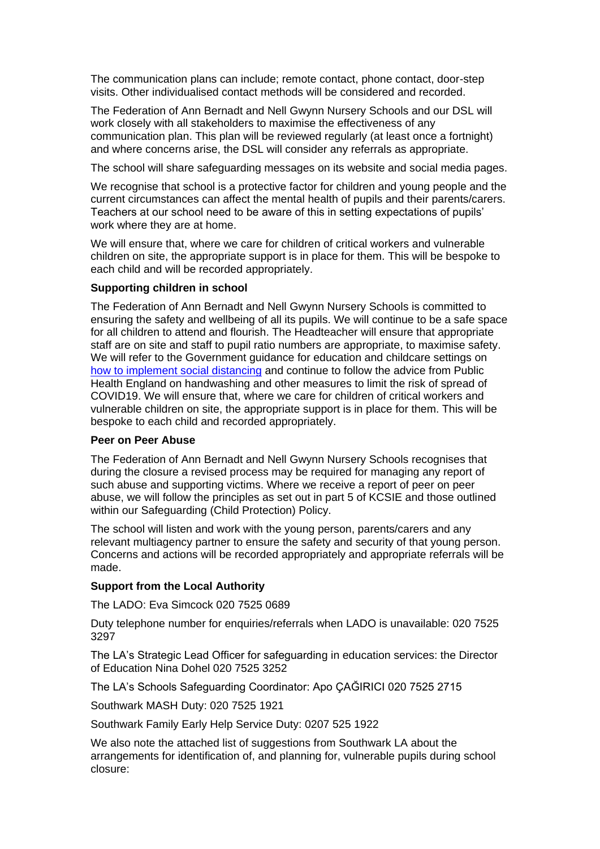The communication plans can include; remote contact, phone contact, door-step visits. Other individualised contact methods will be considered and recorded.

The Federation of Ann Bernadt and Nell Gwynn Nursery Schools and our DSL will work closely with all stakeholders to maximise the effectiveness of any communication plan. This plan will be reviewed regularly (at least once a fortnight) and where concerns arise, the DSL will consider any referrals as appropriate.

The school will share safeguarding messages on its website and social media pages.

We recognise that school is a protective factor for children and young people and the current circumstances can affect the mental health of pupils and their parents/carers. Teachers at our school need to be aware of this in setting expectations of pupils' work where they are at home.

We will ensure that, where we care for children of critical workers and vulnerable children on site, the appropriate support is in place for them. This will be bespoke to each child and will be recorded appropriately.

## **Supporting children in school**

The Federation of Ann Bernadt and Nell Gwynn Nursery Schools is committed to ensuring the safety and wellbeing of all its pupils. We will continue to be a safe space for all children to attend and flourish. The Headteacher will ensure that appropriate staff are on site and staff to pupil ratio numbers are appropriate, to maximise safety. We will refer to the Government guidance for education and childcare settings on [how to implement social distancing](https://www.gov.uk/government/publications/coronavirus-covid-19-implementing-social-distancing-in-education-and-childcare-settings) and continue to follow the advice from Public Health England on handwashing and other measures to limit the risk of spread of COVID19. We will ensure that, where we care for children of critical workers and vulnerable children on site, the appropriate support is in place for them. This will be bespoke to each child and recorded appropriately.

## **Peer on Peer Abuse**

The Federation of Ann Bernadt and Nell Gwynn Nursery Schools recognises that during the closure a revised process may be required for managing any report of such abuse and supporting victims. Where we receive a report of peer on peer abuse, we will follow the principles as set out in part 5 of KCSIE and those outlined within our Safeguarding (Child Protection) Policy.

The school will listen and work with the young person, parents/carers and any relevant multiagency partner to ensure the safety and security of that young person. Concerns and actions will be recorded appropriately and appropriate referrals will be made.

# **Support from the Local Authority**

The LADO: Eva Simcock 020 7525 0689

Duty telephone number for enquiries/referrals when LADO is unavailable: 020 7525 3297

The LA's Strategic Lead Officer for safeguarding in education services: the Director of Education Nina Dohel 020 7525 3252

The LA's Schools Safeguarding Coordinator: Apo ÇAĞIRICI 020 7525 2715

Southwark MASH Duty: 020 7525 1921

Southwark Family Early Help Service Duty: 0207 525 1922

We also note the attached list of suggestions from Southwark LA about the arrangements for identification of, and planning for, vulnerable pupils during school closure: